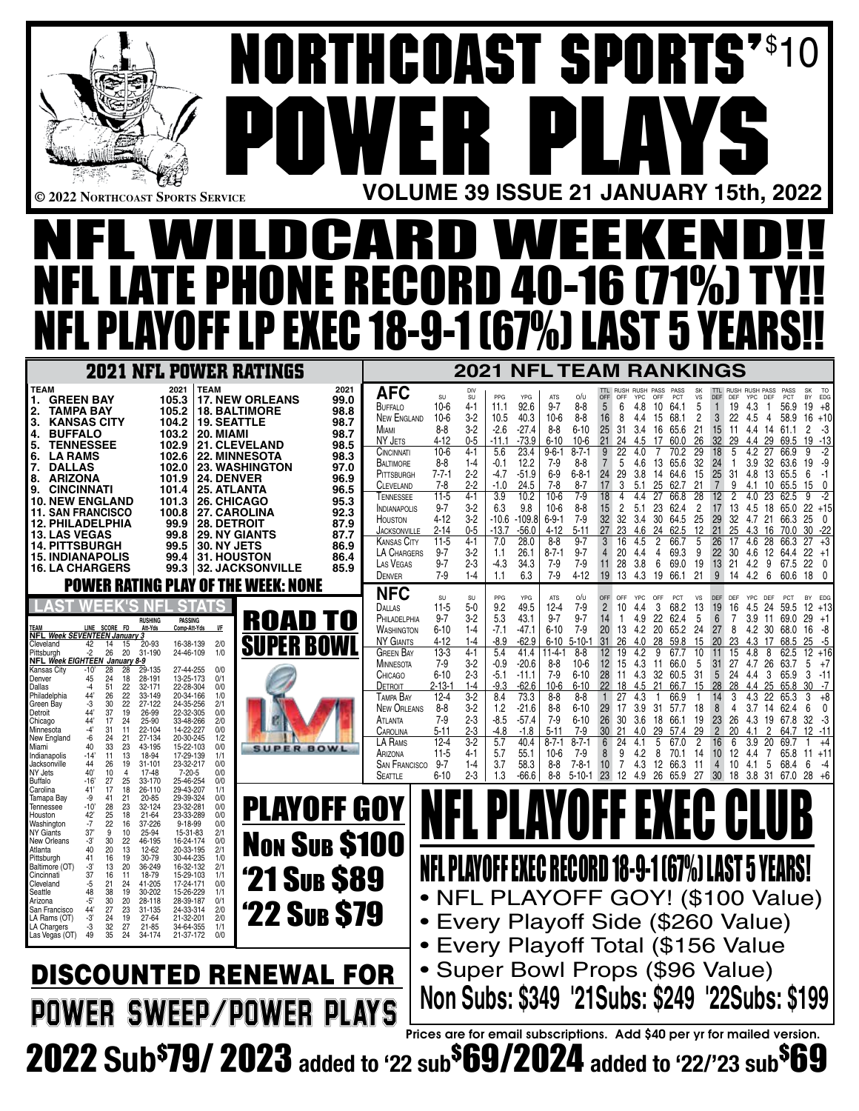|                                                                                                                                                                                                                                                                                                                                                                                                                                                                                                                                                                                                                                                                                                                                                                                                                                                                                                                          | <b>NORTHCOAST SPORTS"S1</b>                                                                                                                                                                                         |                                                                                                                                                                                                                                                                                 |                                                                                                                                                                                                                                                     |                                                                                                                                                                                                                                                                          |                                                                                                                                                                                                                                                                                                                                                                                                                                                 |                                                                                                                                                                                                                                                                                                                                               |                                                                                                                                                                                                                                                                                                                                                     |
|--------------------------------------------------------------------------------------------------------------------------------------------------------------------------------------------------------------------------------------------------------------------------------------------------------------------------------------------------------------------------------------------------------------------------------------------------------------------------------------------------------------------------------------------------------------------------------------------------------------------------------------------------------------------------------------------------------------------------------------------------------------------------------------------------------------------------------------------------------------------------------------------------------------------------|---------------------------------------------------------------------------------------------------------------------------------------------------------------------------------------------------------------------|---------------------------------------------------------------------------------------------------------------------------------------------------------------------------------------------------------------------------------------------------------------------------------|-----------------------------------------------------------------------------------------------------------------------------------------------------------------------------------------------------------------------------------------------------|--------------------------------------------------------------------------------------------------------------------------------------------------------------------------------------------------------------------------------------------------------------------------|-------------------------------------------------------------------------------------------------------------------------------------------------------------------------------------------------------------------------------------------------------------------------------------------------------------------------------------------------------------------------------------------------------------------------------------------------|-----------------------------------------------------------------------------------------------------------------------------------------------------------------------------------------------------------------------------------------------------------------------------------------------------------------------------------------------|-----------------------------------------------------------------------------------------------------------------------------------------------------------------------------------------------------------------------------------------------------------------------------------------------------------------------------------------------------|
|                                                                                                                                                                                                                                                                                                                                                                                                                                                                                                                                                                                                                                                                                                                                                                                                                                                                                                                          |                                                                                                                                                                                                                     |                                                                                                                                                                                                                                                                                 |                                                                                                                                                                                                                                                     |                                                                                                                                                                                                                                                                          |                                                                                                                                                                                                                                                                                                                                                                                                                                                 |                                                                                                                                                                                                                                                                                                                                               |                                                                                                                                                                                                                                                                                                                                                     |
|                                                                                                                                                                                                                                                                                                                                                                                                                                                                                                                                                                                                                                                                                                                                                                                                                                                                                                                          |                                                                                                                                                                                                                     | $\bullet$<br>H                                                                                                                                                                                                                                                                  |                                                                                                                                                                                                                                                     | $\mathbf{P}$                                                                                                                                                                                                                                                             |                                                                                                                                                                                                                                                                                                                                                                                                                                                 |                                                                                                                                                                                                                                                                                                                                               |                                                                                                                                                                                                                                                                                                                                                     |
| © 2022 NORTHCOAST SPORTS SERVICE                                                                                                                                                                                                                                                                                                                                                                                                                                                                                                                                                                                                                                                                                                                                                                                                                                                                                         |                                                                                                                                                                                                                     |                                                                                                                                                                                                                                                                                 |                                                                                                                                                                                                                                                     |                                                                                                                                                                                                                                                                          |                                                                                                                                                                                                                                                                                                                                                                                                                                                 | <b>VOLUME 39 ISSUE 21 JANUARY 15th, 2022</b>                                                                                                                                                                                                                                                                                                  |                                                                                                                                                                                                                                                                                                                                                     |
| H                                                                                                                                                                                                                                                                                                                                                                                                                                                                                                                                                                                                                                                                                                                                                                                                                                                                                                                        | DCARD W                                                                                                                                                                                                             |                                                                                                                                                                                                                                                                                 |                                                                                                                                                                                                                                                     | FI                                                                                                                                                                                                                                                                       | FI                                                                                                                                                                                                                                                                                                                                                                                                                                              |                                                                                                                                                                                                                                                                                                                                               |                                                                                                                                                                                                                                                                                                                                                     |
| RTE PHONE RECORD 40-16 (71%) TY                                                                                                                                                                                                                                                                                                                                                                                                                                                                                                                                                                                                                                                                                                                                                                                                                                                                                          |                                                                                                                                                                                                                     |                                                                                                                                                                                                                                                                                 |                                                                                                                                                                                                                                                     |                                                                                                                                                                                                                                                                          |                                                                                                                                                                                                                                                                                                                                                                                                                                                 |                                                                                                                                                                                                                                                                                                                                               |                                                                                                                                                                                                                                                                                                                                                     |
| <b>NFL PLAYOFF LP EXEC 18-9-1 (67%) LAST 5 YEA</b>                                                                                                                                                                                                                                                                                                                                                                                                                                                                                                                                                                                                                                                                                                                                                                                                                                                                       |                                                                                                                                                                                                                     |                                                                                                                                                                                                                                                                                 |                                                                                                                                                                                                                                                     |                                                                                                                                                                                                                                                                          |                                                                                                                                                                                                                                                                                                                                                                                                                                                 |                                                                                                                                                                                                                                                                                                                                               |                                                                                                                                                                                                                                                                                                                                                     |
| <b>2021 NFL POWER RATINGS</b>                                                                                                                                                                                                                                                                                                                                                                                                                                                                                                                                                                                                                                                                                                                                                                                                                                                                                            |                                                                                                                                                                                                                     |                                                                                                                                                                                                                                                                                 | 2021                                                                                                                                                                                                                                                |                                                                                                                                                                                                                                                                          | <b>NFL TEAM RANKINGS</b>                                                                                                                                                                                                                                                                                                                                                                                                                        |                                                                                                                                                                                                                                                                                                                                               |                                                                                                                                                                                                                                                                                                                                                     |
| <b>TEAM</b><br>2021<br><b>TEAM</b><br>1. GREEN BAY<br><b>17. NEW ORLEANS</b><br>105.3<br><b>TAMPA BAY</b><br>105.2<br><b>18. BALTIMORE</b><br>2.<br><b>KANSAS CITY</b><br><b>19. SEATTLE</b><br>3.<br>104.2<br><b>BUFFALO</b><br>103.2<br>20. MIAMI<br>4.<br><b>TENNESSEE</b><br>102.9<br><b>21. CLEVELAND</b><br>5.<br>102.6<br><b>22. MINNESOTA</b><br><b>LA RAMS</b><br>6.<br>7. DALLAS<br>102.0<br><b>23. WASHINGTON</b><br><b>ARIZONA</b><br>101.9<br>24. DENVER<br>8.<br>25. ATLANTA<br>CINCINNATI<br>101.4<br>9.                                                                                                                                                                                                                                                                                                                                                                                                  | 2021<br><b>AFC</b><br>99.0<br>BUFFALO<br>98.8<br><b>NEW ENGLAND</b><br>98.7<br><b>MIAMI</b><br>98.7<br>NY JETS<br>98.5<br>CINCINNATI<br>98.3<br>BALTIMORE<br>97.0<br>PITTSBURGH<br>96.9<br><b>CLEVELAND</b><br>96.5 | DIV<br>SU<br>SU<br>$10-6$<br>4-1<br>$3-2$<br>$10-6$<br>$3-2$<br>$8 - 8$<br>$0 - 5$<br>$4 - 12$<br>$10-6$<br>$4 - 1$<br>$8-8$<br>$1 - 4$<br>$2 - 2$<br>$7 - 7 - 1$<br>$2 - 2$<br>$7-8$                                                                                           | PPG<br>YPG<br>92.6<br>11.1<br>40.3<br>10.5<br>$-2.6$<br>$-27.4$<br>$-73.9$<br>$-11.1$<br>23.4<br>5.6<br>$-0.1$<br>12.2<br>$-51.9$<br>$-4.7$<br>$-1.0$<br>24.5                                                                                       | ATS<br>o/u<br>$9 - 7$<br>8-8<br>10-6<br>8-8<br>8-8<br>$6 - 10$<br>$6 - 10$<br>$10-6$<br>$8 - 7 - 1$<br>$9 - 6 - 1$<br>$7-9$<br>$8 - 8$<br>$6 - 9$<br>$6 - 8 - 1$<br>$8 - 7$<br>$7-8$                                                                                     | RUSH PASS<br>PASS<br>OFF<br>YPC<br>OFF PCT<br>OFF<br>6<br>4.8<br>10<br>64.1<br>8<br>68.1<br>16<br>4.4<br>15<br>31<br>25<br>3.4<br>16<br>65.6<br>21<br>24<br>4.5<br>60.0<br>17<br>5<br>4.6<br>13<br>65.6<br>24<br>29<br>3.8<br>14<br>64.6<br>3<br>25<br>62.7<br>5.1                                                                                                                                                                              | <b>SK</b><br><b>RUSH RUSH PASS</b><br>vs<br>DEF<br>DEF<br>YPC DEF<br>5<br>19<br>4.3<br>2<br>3<br>22<br>4.5<br>21<br>15<br>-11<br>4.4<br>26<br>32<br>29<br>4.4<br>18<br>32<br>24<br>3.9<br>15<br>25<br>31<br>4.8<br>21<br>7<br>9                                                                                                               | PCT<br>BY EDG<br>$+8$<br>56.9<br>19<br>$\mathbf{1}$<br>$+10$<br>58.9<br>16<br>4<br>2<br>-3<br>61.1<br>$-13$<br>19<br>69.5<br>$-2$<br>-9<br>32<br>63.6<br>19<br>13<br>6<br>-1<br>65.5<br>0<br>15                                                                                                                                                     |
| 26. CHICAGO<br><b>10. NEW ENGLAND</b><br>101.3<br><b>11. SAN FRANCISCO</b><br>100.8<br>27. CAROLINA<br><b>12. PHILADELPHIA</b><br>99.9<br><b>28. DETROIT</b><br><b>13. LAS VEGAS</b><br>99.8<br><b>29. NY GIANTS</b><br>99.5<br>30. NY JETS<br><b>14. PITTSBURGH</b><br><b>15. INDIANAPOLIS</b><br>99.4<br>31. HOUSTON<br>32. JACKSONVILLE<br><b>16. LA CHARGERS</b><br>99.3<br><b>POWER RATING PLAY OF THE WEEK: NONE</b>                                                                                                                                                                                                                                                                                                                                                                                                                                                                                               | TENNESSEE<br>95.3<br><b>INDIANAPOLIS</b><br>92.3<br><b>HOUSTON</b><br>87.9<br><b>JACKSONVILLE</b><br>87.7<br><b>KANSAS CITY</b><br>86.9<br>LA CHARGERS<br>86.4<br>LAS VEGAS<br>85.9<br>DENVER<br><b>NFC</b>         | $4-1$<br>$11-5$<br>$3-2$<br>$9 - 7$<br>$3-2$<br>$4 - 12$<br>$0 - 5$<br>$2 - 14$<br>$11-5$<br>$4 - 1$<br>$3-2$<br>$9 - 7$<br>$9 - 7$<br>$2 - 3$<br>$7-9$<br>$1-4$                                                                                                                | 3.9<br>10.2<br>6.3<br>9.8<br>$-10.6$<br>-109.8<br>$-56.0$<br>$-13.7$<br>28.0<br>7.0<br>26.1<br>1.1<br>$-4.3$<br>34.3<br>1.1<br>6.3                                                                                                                  | $7-9$<br>$10-6$<br>$10-6$<br>$8 - 8$<br>$7-9$<br>$6-9-1$<br>$5 - 11$<br>$4 - 12$<br>$8-8$<br>$9 - 7$<br>$8 - 7 - 1$<br>$9 - 7$<br>7-9<br>$7-9$<br>$7-9$<br>$4 - 12$                                                                                                      | 4.4<br>27<br>66.8<br>2<br>23<br>62.4<br>5.1<br>32<br>32<br>3.4<br>30<br>64.5<br>27<br>4.6<br>24<br>62.5<br>4.5<br>$\overline{2}$<br>66.7<br>16<br>20<br>4.4<br>4<br>69.3<br>28<br>3.8<br>6<br>69.0<br>11<br>19<br>13<br>4.3<br>19<br>66.1                                                                                                                                                                                                       | 28<br>12<br>4.0<br>2<br>17<br>13<br>4.5<br>25<br>29<br>32<br>4.7<br>12<br>21<br>25<br>4.3<br>5<br>26<br>17<br>4.6<br>9<br>22<br>30<br>4.6<br>13<br>19<br>21<br>4.2<br>21<br>9<br>4.2<br>14                                                                                                                                                    | $-2$<br>9<br>23<br>$22 + 15$<br>18<br>65.0<br>0<br>25<br>21<br>66.3<br>30<br>-22<br>$+3$<br>27<br>28<br>66.3<br>22<br>$+1$<br>12<br>64.4<br>22<br>9<br>0<br>67.5<br>60.6<br>18<br>$\mathbf{0}$<br>-6                                                                                                                                                |
| <b>RUSHING</b><br><b>PASSING</b><br><u>LINE SCORE</u><br>Comp-Att-Yds<br>Att-Yds<br>NFL Week SEVENTEEN January 3<br>16-38-139<br>2/0<br>Cleveland<br>42<br>14<br>15 20-93<br>1/0<br>Pittsburah<br>26<br>20<br>31-190<br>24-46-109<br>NFL Week EIGHTEEN January 8-9<br>27-44-255<br>Kansas City<br>-10'<br>28<br>28<br>29-135<br>0/0<br>24<br>13-25-173<br>Denver<br>45<br>18<br>28-191<br>0/1<br>Dallas<br>51<br>22<br>32-171<br>22-28-304<br>-4<br>0/0<br>Philadelphia<br>26<br>-22<br>33-149<br>20-34-166<br>44'<br>1/0<br>-3<br>30<br>-22<br>27-122<br>24-35-256<br>2/1<br>Green Bav<br>Detroit<br>44'<br>37<br>19<br>26-99<br>22-32-305<br>0/0<br>Chicago<br>44'<br>17<br>24<br>25-90<br>33-48-266<br>2/0<br>Minnesota<br>-4'<br>31<br>11<br>22-104<br>14-22-227<br>0/0<br>24<br>21<br>27-134<br>20-30-245<br>1/2<br>New England<br>-6<br>Miami<br>33<br>23<br>43-195<br>15-22-103<br>0/0<br>40<br><b>SUPER BOWL</b> | DALLAS<br>PHILADELPHIA<br><b>WASHINGTON</b><br><b>NY GIANTS</b><br>GREEN BAY<br>MINNESOTA<br><b>CHICAGO</b><br>DETROIT<br>Tampa Bay<br><b>NEW ORLEANS</b><br>ATLANTA<br>CAROLINA<br>LA Rams                         | SU<br>SU<br>$11-5$<br>$5-0$<br>$9 - 7$<br>$3-2$<br>$6 - 10$<br>$1 - 4$<br>4-12<br>$1 - 4$<br>$4 - 1$<br>13-3<br>$7-9$<br>$3-2$<br>$2 - 3$<br>6-10<br>$2 - 13 - 1$<br>$1 - 4$<br>$3-2$<br>$12-4$<br>$3-2$<br>$8-8$<br>$2 - 3$<br>$7-9$<br>$2 - 3$<br>5-11<br>$12 - 4$<br>$3 - 2$ | YPG<br>PPG<br>49.5<br>9.2<br>43.1<br>5.3<br>$-7.1$<br>$-47.1$<br>$-62.9$<br>-8.9<br>5.4<br>41.4<br>$-0.9$<br>$-20.6$<br>$-5.1$<br>$-11.1$<br>$-9.3$<br>$-62.6$<br>73.3<br>8.4<br>1.2<br>$-21.6$<br>$-8.5$<br>$-57.4$<br>-4.8<br>-1.8<br>5.7<br>40.4 | ATS<br>o/u<br>12-4<br>7-9<br>$9 - 7$<br>$9 - 7$<br>$6 - 10$<br>7-9<br>$6 - 10$<br>$5 - 10 - 1$<br>$11-4-1$<br>8-8<br>8-8<br>$10-6$<br>7-9<br>$6 - 10$<br>10-6<br>$6 - 10$<br>8-8<br>8-8<br>8-8<br>6-10<br>7-9<br>6-10<br>$7-9$<br>$5 - 11$<br>$8 - 7 - 1$<br>$8 - 7 - 1$ | PCT<br>YPC<br>OFF<br>68.2<br>$\overline{2}$<br>10<br>3<br>4.4<br>22<br>62.4<br>4.9<br>13 4.2<br>20<br>65.2<br>20<br>31<br>26<br>28<br>59.8<br>4.0<br>4.2<br>12 <sup>2</sup><br>19<br>9<br>67.7<br>4.3<br>12<br>15<br>-11<br>66.0<br>4.3<br>32<br>60.5<br>28<br>11<br>22<br>18<br>4.5<br>21<br>66.7<br>27<br>4.3<br>66.9<br>29<br>3.9<br>17<br>31<br>57.7<br>26<br>30<br>3.6<br>18<br>66.1<br>30<br>21<br>29<br>57.4<br>4.0<br>24<br>67.0<br>4.1 | <b>VS</b><br>DFF<br>DFF<br>13<br>19<br>16<br>4.5<br>3.9<br>5<br>6<br>7<br>27<br>-24<br>8<br>4.2<br>15<br>20<br>23<br>4.3<br>10<br>11<br>15 4.8<br>27<br>$\mathbf{5}$<br>-31<br>4.7<br>5<br>31<br>24<br>15<br>28<br>28<br>3<br>4.3<br>14<br>18<br>8<br>3.7<br>4<br>19<br>23<br>26<br>4.3<br>29<br>20<br>$\overline{2}$<br>4.1<br>2<br>3.9<br>6 | EDG<br><b>BY</b><br>59.5<br>$12 + 13$<br>24<br>29<br>69.0<br>$+1$<br>-11<br>16<br>-8<br>-30<br>68.0<br>25<br>-5<br>68.5<br>17<br>8<br>$12 \overline{ }$<br>62.5<br>+16<br>26<br>5<br>+7<br>63.7<br>3<br>-11<br>65.9<br>$-7$<br>$+8$<br>22<br>65.3<br>3<br>0<br>62.4<br>6<br>14<br>-3<br>67.8<br>32<br>19<br>12<br>$-11$<br>64.7<br>+4<br>20<br>69.7 |
| -14'<br>13<br>18-94<br>17-29-139<br>1/1<br>Indianapolis<br>-11<br>23-32-217<br>44<br>26<br>19<br>$31 - 101$<br>Jacksonville<br>0/0<br>40'<br>NY Jets<br>10<br>17-48<br>7-20-5<br>0/0<br>4<br>Buffalo<br>-16'<br>27<br>25<br>33-170<br>25-46-254<br>0/0<br>17<br>29-43-207<br>Carolina<br>41'<br>18<br>26-110<br>1/1<br>21<br>29-39-324<br>Tamapa Bay<br>-9<br>41<br>20-85<br>0/0<br>-10'<br>28<br>23<br>23-32-281<br>0/0<br>Tennessee<br>32-124<br>42'<br>25<br>18<br>21-64<br>23-33-289<br>0/0<br>Houston<br>22<br>Washington<br>-7<br>16<br>37-226<br>9-18-99<br>0/0<br>NY Giants<br>37'<br>9<br>10<br>25-94<br>15-31-83<br>2/1<br>New Orleans<br>-3'<br>30<br>22<br>46-195<br>16-24-174<br>0/0                                                                                                                                                                                                                        | ARIZONA<br><b>SAN FRANCISCO</b><br><b>SEATTLE</b><br><b>PLAYOFF GOY</b><br><b>Non Sub \$100</b>                                                                                                                     | $11-5$<br>$4 - 1$<br>9-7<br>$1-4$<br>$2 - 3$<br>$6 - 10$                                                                                                                                                                                                                        | 5.7<br>55.1<br>3.7<br>58.3<br>$-66.6$<br>1.3                                                                                                                                                                                                        | $7-9$<br>10-6<br>8-8<br>$7-8-1$<br>$5 - 10 - 1$<br>8-8                                                                                                                                                                                                                   | 8<br>9<br>4.2<br>70.1<br>8<br>4.3<br>7<br>12 <sup>2</sup><br>66.3<br>10 <sup>°</sup><br>23<br>$12 \overline{ }$<br>4.9<br>-26<br>65.9                                                                                                                                                                                                                                                                                                           | 12<br>14<br>10 <sup>°</sup><br>4.4<br>10<br>11<br>4<br>4.1<br>27<br>30<br>3.8<br>18                                                                                                                                                                                                                                                           | 65.8<br>$+11$<br>-11<br>6<br>-4<br>5<br>68.4<br>-31<br>$28 + 6$<br>67.0                                                                                                                                                                                                                                                                             |
| 2/1<br>Atlanta<br>40<br>20<br>13<br>12-62<br>20-33-195<br>Pittsburgh<br>41<br>16<br>19<br>30-79<br>30-44-235<br>1/0<br>Baltimore (OT)<br>-3'<br>13<br>20<br>36-249<br>16-32-132<br>2/1<br>37<br>16<br>15-29-103<br>1/1<br>Cincinnati<br>11<br>18-79<br>21<br>24<br>Cleveland<br>41-205<br>17-24-171<br>0/0<br>-5<br>19<br>48<br>38<br>30-202<br>15-26-229<br>1/1<br>Seattle<br>30<br>-5'<br>20<br>28-118<br>28-39-187<br>0/1<br>Arizona<br>27<br>23<br>44'<br>31-135<br>24-33-314<br>2/0<br>San Francisco<br>-3'<br>LA Rams (OT)<br>24<br>19<br>21-32-201<br>2/0<br>27-64<br>32<br>-3<br>27<br>1/1<br>LA Chargers<br>21-85<br>34-64-355<br>49<br>35<br>-24<br>34-174<br>21-37-172<br>0/0<br>Las Vegas (OT)                                                                                                                                                                                                               | <b>'21 Sub \$89</b><br><b>'22 Sub \$79</b>                                                                                                                                                                          |                                                                                                                                                                                                                                                                                 |                                                                                                                                                                                                                                                     |                                                                                                                                                                                                                                                                          |                                                                                                                                                                                                                                                                                                                                                                                                                                                 | NFL PLAYOFF EXEC RECORD 18-9-1 (67%) LAST 5 YEARS!<br>• NFL PLAYOFF GOY! (\$100 Value)<br>Every Playoff Side (\$260 Value)<br>Every Playoff Total (\$156 Value                                                                                                                                                                                |                                                                                                                                                                                                                                                                                                                                                     |
| <b>DISCOUNTED RENEWAL FOR</b><br><b>POWER SWEEP/POWER</b>                                                                                                                                                                                                                                                                                                                                                                                                                                                                                                                                                                                                                                                                                                                                                                                                                                                                | PLAYS                                                                                                                                                                                                               |                                                                                                                                                                                                                                                                                 |                                                                                                                                                                                                                                                     |                                                                                                                                                                                                                                                                          |                                                                                                                                                                                                                                                                                                                                                                                                                                                 | Super Bowl Props (\$96 Value)<br>Non Subs: \$349 '21Subs: \$249 '22Subs: \$199<br>Prices are for email subscriptions. Add \$40 per yr for mailed version.                                                                                                                                                                                     |                                                                                                                                                                                                                                                                                                                                                     |
| 2022 Sub <sup>\$79</sup> / 2023 added to '22 sub <sup>\$69</sup> /2024 added to '22/'23 sub <sup>\$69</sup>                                                                                                                                                                                                                                                                                                                                                                                                                                                                                                                                                                                                                                                                                                                                                                                                              |                                                                                                                                                                                                                     |                                                                                                                                                                                                                                                                                 |                                                                                                                                                                                                                                                     |                                                                                                                                                                                                                                                                          |                                                                                                                                                                                                                                                                                                                                                                                                                                                 |                                                                                                                                                                                                                                                                                                                                               |                                                                                                                                                                                                                                                                                                                                                     |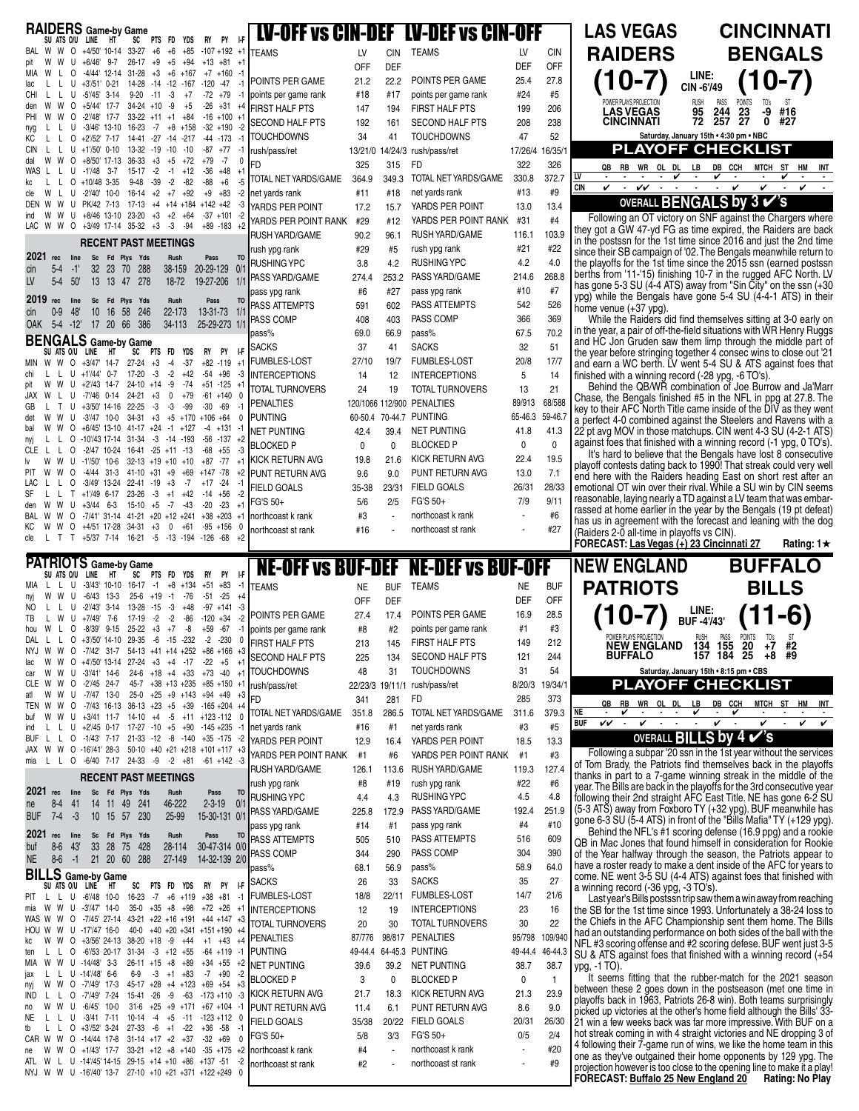| RAIDERS Game-by Game                                                                                                                                                                           |                                                                                             |            |            | <b>LV-OFF vs CIN-DEF LV-DEF vs CIN-OFF</b> |            |                 | <b>LAS VE</b>                            |
|------------------------------------------------------------------------------------------------------------------------------------------------------------------------------------------------|---------------------------------------------------------------------------------------------|------------|------------|--------------------------------------------|------------|-----------------|------------------------------------------|
| PY<br>SU ATS O/U LINE<br>HT<br>PTS FD<br>ŀF<br>SC<br>YDS<br>RY                                                                                                                                 |                                                                                             |            |            |                                            |            |                 |                                          |
| W O +4/50' 10-14 33-27<br>BAL W<br>+6<br>$+6$<br>$+85$<br>$-107 + 192 + 1$                                                                                                                     | <b>TEAMS</b>                                                                                | LV         | <b>CIN</b> | <b>TEAMS</b>                               | LV         | <b>CIN</b>      | <b>RAIDE</b>                             |
| $+6/46'$<br>$9-7$<br>$26 - 17$<br>$+9$<br>$+5$<br>+94<br>$+13$ $+81$<br>pit<br>$+1$<br>$12 - 14$<br>31-28<br>MIA<br>0<br>-4/44'<br>$+3$<br>$+6$<br>$+167$<br>$+7$ +160<br>$-1$<br>w            |                                                                                             | <b>OFF</b> | DEF        |                                            | <b>DEF</b> | OFF             |                                          |
| $0 - 21$<br>14-28<br>$-14$ $-12$ $-167$ $-120$ $-47$<br>lac<br>$+3/51'$<br>-1<br>U                                                                                                             | POINTS PER GAME                                                                             | 21.2       | 22.2       | POINTS PER GAME                            | 25.4       | 27.8            | $0 -$                                    |
| $-5'/45'$<br>$3 - 14$<br>$9 - 20$<br>-3<br>$-72$ $+79$<br>CHI<br>U<br>$-11$<br>$+7$<br>-1                                                                                                      | points per game rank                                                                        | #18        | #17        | points per game rank                       | #24        | #5              | POWER PLAYS PRO                          |
| 34-24<br>$+5/44'$<br>17-7<br>+10<br>-9<br>$+5$<br>$-26$<br>+31<br>den<br>W<br>W<br>0<br>$+4$<br>$-2'/48'$<br>PHI<br>0<br>17-7<br>33-22<br>$+11$<br>$+1$<br>$+84$<br>$-16$ $+100$ $+1$          | <b>FIRST HALF PTS</b>                                                                       | 147        | 194        | <b>FIRST HALF PTS</b>                      | 199        | 206             | <b>LAS VEC</b>                           |
| $-3/46'$ 13-10 16-23<br>$-7$<br>$+8$<br>$+158$<br>$-32$ +190<br>-2<br>U<br>nyg                                                                                                                 | <b>SECOND HALF PTS</b>                                                                      | 192        | 161        | <b>SECOND HALF PTS</b>                     | 208        | 238             | <b>CINCINN</b>                           |
| 14-41 -27 -14 -217<br>КC<br>0<br>$+2^{1}/52^{1}$ 7-17<br>$-44$ $-173$<br>$-1$                                                                                                                  | <b>TOUCHDOWNS</b>                                                                           | 34         | 41         | <b>TOUCHDOWNS</b>                          | 47         | 52              |                                          |
| $+1'/50'$ 0-10<br>$-19$<br>$-87$<br><b>CIN</b><br>U<br>13-32<br>$-10$<br>$-10$<br>+77<br>-1                                                                                                    | rush/pass/ret                                                                               |            |            | 13/21/0 14/24/3 rush/pass/ret              |            | 17/26/4 16/35/1 | PLA                                      |
| 36-33<br>$+3$<br>$+8/50'$ 17-13<br>$+5$<br>+72<br>$+79$<br>-7<br>0<br>dal<br>0<br>$-2$<br>$-36$<br>WAS<br>U<br>$-1'/48$<br>$3 - 7$<br>15-17<br>-1<br>$+12$<br>$+48$<br>$+1$                    | FD                                                                                          | 325        | 315        | <b>FD</b>                                  | 322        | 326             | QB<br>RB V                               |
| $+10/48$ 3-35<br>$9 - 48$<br>$-39$<br>$-2$<br>$-82$<br>$-88$<br>$+6$<br>0<br>-5<br>kc                                                                                                          | TOTAL NET YARDS/GAME                                                                        | 364.9      | 349.3      | TOTAL NET YARDS/GAME                       | 330.8      | 372.7           | LV<br>٠                                  |
| $-2'/40'$ 10-0<br>16-14<br>$+2$<br>$+7$ $+92$<br>$+9$<br>$+83$<br>$-2$<br>w<br>U<br>$\mathbf{L}$<br>cle                                                                                        | net yards rank                                                                              | #11        | #18        | net yards rank                             | #13        | #9              | <b>CIN</b><br>v<br>۰.<br>v               |
| U PK/42 7-13<br>$17 - 13$<br>$+4$<br>$+14$ +184 +142 +42<br>w<br>-3<br>DEN                                                                                                                     | YARDS PER POINT                                                                             | 17.2       | 15.7       | YARDS PER POINT                            | 13.0       | 13.4            | <b>OVER</b>                              |
| 23-20<br>$+2$<br>U<br>$+8/46$ 13-10<br>$+3$<br>+64<br>$-37 + 101 - 2$<br>ind<br>W<br>w<br>$-3$<br>W O<br>$+3/49$ 17-14 35-32<br>$+3$<br>$-94$<br>$+89 - 183 + 2$<br>LAC<br>W                   | YARDS PER POINT RANK                                                                        | #29        | #12        | YARDS PER POINT RANK                       | #31        | #4              | Following an                             |
|                                                                                                                                                                                                | <b>RUSH YARD/GAME</b>                                                                       | 90.2       | 96.1       | <b>RUSH YARD/GAME</b>                      | 116.1      | 103.9           | they got a GW 4<br>in the postssn fo     |
| <b>RECENT PAST MEETINGS</b>                                                                                                                                                                    | rush ypg rank                                                                               | #29        | #5         | rush ypg rank                              | #21        | #22             | since their SB ca                        |
| 2021 rec<br>line<br>Sc<br>Fd Plys<br>Yds<br>Rush<br>Pass<br>T <sub>0</sub><br>$5-4$<br>$-1$<br>32<br>23<br>- 70<br>288<br>38-159<br>20-29-129<br>0/1<br>cin                                    | <b>RUSHING YPC</b>                                                                          | 3.8        | 4.2        | <b>RUSHING YPC</b>                         | 4.2        | 4.0             | the playoffs for th                      |
| LV<br>$5-4$<br>$50^{\circ}$<br>13<br>13 47<br>278<br>$18 - 72$<br>19-27-206<br>1/1                                                                                                             | PASS YARD/GAME                                                                              | 274.4      | 253.2      | PASS YARD/GAME                             | 214.6      | 268.8           | berths from '11-'                        |
|                                                                                                                                                                                                | pass ypg rank                                                                               | #6         | #27        | pass ypg rank                              | #10        | #7              | has gone 5-3 SU<br>ypg) while the B      |
| 2019<br>rec<br>line<br>Fd Plys<br>Rush<br>Sc<br>Yds<br>Pass<br>TO                                                                                                                              | PASS ATTEMPTS                                                                               | 591        | 602        | PASS ATTEMPTS                              | 542        | 526             | home venue (+3 <sup>-</sup>              |
| $0-9$<br>48'<br>10<br>13-31-73<br>-16<br>58<br>246<br>22-173<br>1/1<br>cin<br>386<br>25-29-273 1/1<br><b>OAK</b><br>$5-4$<br>$-12$<br>17 20 66<br>34-113                                       | PASS COMP                                                                                   | 408        | 403        | PASS COMP                                  | 366        | 369             | While the Ra                             |
|                                                                                                                                                                                                | pass%                                                                                       | 69.0       | 66.9       | pass%                                      | 67.5       | 70.2            | in the year, a pair                      |
| <b>BENGALS</b> Game-by Game<br>RY<br>PY<br>ŀF<br>SU ATS O/U LINE<br>HT<br><b>YDS</b><br>SC<br>PTS FD                                                                                           | <b>SACKS</b>                                                                                | 37         | 41         | <b>SACKS</b>                               | 32         | 51              | and HC Jon Gru<br>the year before s      |
| $+3$<br>$-37$<br>$+82 - 119 + 1$<br>MIN W W<br>$O + 3/47'$<br>14-7<br>27-24<br>-4                                                                                                              | <b>FUMBLES-LOST</b>                                                                         | 27/10      | 19/7       | FUMBLES-LOST                               | 20/8       | 17/7            | and earn a WC I                          |
| -3<br>-2<br>$-54$ $+96$<br>U<br>$+1'/44'$<br>$0 - 7$<br>17-20<br>$+42$<br>-3<br>chi<br>Ι.                                                                                                      | <b>INTERCEPTIONS</b>                                                                        | 14         | 12         | <b>INTERCEPTIONS</b>                       | 5          | 14              | finished with a w                        |
| $+2^{1}/43$<br>$14-7$<br>$24-10 +14$<br>-9<br>$-74$<br>$+51 - 125 + 1$<br>W<br>W<br>U<br>pit                                                                                                   | <b>TOTAL TURNOVERS</b>                                                                      | 24         | 19         | <b>TOTAL TURNOVERS</b>                     | 13         | 21              | Behind the C                             |
| 24-21<br>$+79$<br>JAX<br>-7'/46<br>0-14<br>$+3$<br>0<br>$-61 + 140 = 0$<br>W<br>U<br>22-25<br>-3<br>-3<br>-99<br>$-30$<br>$-69$<br>GB<br>т<br>U<br>$+3/50'$ 14-16<br>$-1$                      | PENALTIES                                                                                   |            |            | 120/1066 112/900 PENALTIES                 | 89/913     | 68/588          | Chase, the Beng                          |
| W<br>W<br>U<br>$-3'/47$ 10-0<br>34-31<br>$+3$<br>$+5$<br>$+170$<br>$+106 +64$<br>det<br>0                                                                                                      | Punting                                                                                     |            |            | 60-50.4 70-44.7 PUNTING                    | 65-46.3    | 59-46.7         | key to their AFC<br>a perfect 4-0 cor    |
| $+6/45'$ 13-10<br>$41-17$ +24<br>0<br>$-1$<br>$+127$<br>$-4$ $+131$ $-1$<br>bal                                                                                                                | <b>NET PUNTING</b>                                                                          | 42.4       | 39.4       | <b>NET PUNTING</b>                         | 41.8       | 41.3            | 22 pt avg MOV ir                         |
| 0 -10/43 17-14 31-34<br>-3<br>$-14 - 193$<br>$-137 +2$<br>L<br>-56<br>nyj<br>-3<br>$-2/47$ 10-24 16-41 -25<br>$+11 - 13$<br>-68<br>$+55$<br>CLE<br>-L<br>0<br>L                                | <b>BLOCKED P</b>                                                                            | 0          | 0          | <b>BLOCKED P</b>                           | 0          | 0               | against foes that                        |
| -77<br>W<br>W<br>U<br>$-1'/50'$<br>$10-6$<br>$32-13 + 19 + 10$<br>$+10$<br>$+87$<br>١v<br>$+1$                                                                                                 | KICK RETURN AVG                                                                             | 19.8       | 21.6       | KICK RETURN AVG                            | 22.4       | 19.5            | It's hard to be                          |
| $+147 -78$<br><b>PIT</b><br>W<br>W<br>0<br>-4/44<br>31-3<br>41-10<br>+31<br>$+9$<br>+69<br>$+2$                                                                                                | PUNT RETURN AVG                                                                             | 9.6        | 9.0        | PUNT RETURN AVG                            | 13.0       | 7.1             | playoff contests<br>end here with th     |
| $+17 -24$<br>LAC<br>0<br>$-3/49'$ 13-24<br>22-41<br>-19<br>$+3$<br>-7<br>$-1$                                                                                                                  | <b>FIELD GOALS</b>                                                                          | 35-38      | 23/31      | <b>FIELD GOALS</b>                         | 26/31      | 28/33           | emotional OT wir                         |
| SF<br>$+1'/49$<br>$6 - 17$<br>23-26<br>-3<br>$+42$<br>$-14$<br>$+56$<br>-2<br>L<br>т<br>$+1$<br>$15-10$<br>$-20$<br>$-23$<br>W<br>W<br>U<br>$+3/44$<br>6-3<br>$+5$<br>-7<br>-43<br>$+1$<br>den | FG'S 50+                                                                                    | 5/6        | 2/5        | FG'S 50+                                   | 7/9        | 9/11            | reasonable, layin                        |
| 0<br>$-7/41'$ 31-14 41-21<br>$+20$ +12 +241<br>$+38 + 203 + 1$<br>W<br>W<br>BAL                                                                                                                | northcoast k rank                                                                           | #3         | ÷,         | northcoast k rank                          | ÷,         | #6              | rassed at home <sub>'</sub>              |
| $+4/51$ 17-28<br>КC<br>W<br>$\circ$<br>34-31<br>$+3$<br>0<br>$+61$<br>-95<br>$+156$ 0<br>W                                                                                                     | northcoast st rank                                                                          | #16        |            | northcoast st rank                         |            | #27             | has us in agreen<br>(Raiders 2-0 all-t   |
| T +5/37 7-14 16-21 -5 -13 -194 -126 -68<br>cle<br>т<br>$+2$<br>Τ.                                                                                                                              |                                                                                             |            |            |                                            |            |                 | <b>FORECAST: Las</b>                     |
| <b>PATRIOTS</b> Game-by Game                                                                                                                                                                   |                                                                                             |            |            |                                            |            |                 |                                          |
| PY<br>ŀF<br>SU ATS O/U<br>PTS FD<br>YDS<br>RY<br>line<br>SC<br>HT                                                                                                                              |                                                                                             |            |            | <b>NE-OFF vs BUF-DEF NE-DEF vs BUF-OFF</b> |            |                 | <b>NEW ENG</b>                           |
| $-3/43'$ 10-10 16-17<br>$+83$<br>$-1$<br>L<br>U<br>$-1$<br>$+8$<br>$+134$<br>+51<br>MIA                                                                                                        | <b>TEAMS</b>                                                                                | <b>NE</b>  | <b>BUF</b> | <b>TEAMS</b>                               | <b>NE</b>  | <b>BUF</b>      | <b>PATRI</b>                             |
| $-25$<br>-6/43<br>13-3<br>$25 - 6$<br>+19<br>$-1$<br>$-76$<br>$-51$<br>$+4$<br>nyj<br>W<br>$-2^{1}/43$<br>$3 - 14$<br>13-28<br>-3<br>$+48$<br>$-97 + 141$<br>-3<br>NO<br>U<br>$-15$            |                                                                                             | <b>OFF</b> | <b>DEF</b> |                                            | <b>DEF</b> | OFF             |                                          |
| TB<br>$+7/49'$<br>$17-19$<br>$-2$<br>$-2$<br>$-86$<br>$-120$<br>$+34$<br>-2<br>W<br>U<br>7-6<br>L                                                                                              | POINTS PER GAME                                                                             | 27.4       | 17.4       | POINTS PER GAME                            | 16.9       | 28.5            | 10-                                      |
| $-8/39'$<br>$9 - 15$<br>25-22<br>$+3$<br>-8<br>$+59$<br>$-67$<br>W<br>0<br>$+7$<br>-1<br>hou                                                                                                   | points per game rank                                                                        | #8         | #2         | points per game rank                       | #1         | #3              |                                          |
| L O +3'/50' 14-10 29-35 -6 -15 -232<br>$-2 - 230$<br>0<br>DAL<br>L.                                                                                                                            | <b>FIRST HALF PTS</b>                                                                       | 213        | 145        | FIRST HALF PTS                             | 149        | 212             | PUWER PLAYS PF<br>NEW EI                 |
| W W O -7/42' 31-7 54-13 +41 +14 +252 +86 +166 +3<br>NYJ<br>W O +4'/50' 13-14 27-24 +3 +4 -17<br>$-22 + 5$<br>$+1$<br>lac<br>W                                                                  | <b>SECOND HALF PTS</b>                                                                      | 225        | 134        | SECOND HALF PTS                            | 121        | 244             | <b>BUFFAI</b>                            |
| W U -3'/41' 14-6<br>24-6 +18 +4 +33 +73 -40 +1<br>W<br>car                                                                                                                                     | <b>TOUCHDOWNS</b>                                                                           | 48         | 31         | <b>TOUCHDOWNS</b>                          | 31         | 54              |                                          |
| CLE W W O -2'/45 24-7<br>45-7 +38 +13 +235 +85 +150 +1                                                                                                                                         | rush/pass/ret                                                                               |            |            | 22/23/3 19/11/1 rush/pass/ret              | 8/20/3     | 19/34/1         | <b>PLA</b>                               |
| W U -7/47 13-0<br>25-0 +25 +9 +143 +94 +49 +3<br>atl<br>W<br>W O                                                                                                                               | FD                                                                                          | 341        | 281        | FD                                         | 285        | 373             | QB<br>RB V                               |
| $-7/43$ 16-13 36-13 $+23$ $+5$<br>$+39 - 165 + 204 + 4$<br>TEN W<br>W W U +3/41 11-7 14-10 +4 -5 +11 +123-112 0<br>buf                                                                         | TOTAL NET YARDS/GAME                                                                        | 351.8      | 286.5      | TOTAL NET YARDS/GAME                       | 311.6      | 379.3           | NE<br>v                                  |
| L U +2'/45 0-17 17-27 -10 +5 +90 -145 +235 -1<br>ind<br>L                                                                                                                                      | net yards rank                                                                              | #16        | #1         | net yards rank                             | #3         | #5              | vv<br><b>BUF</b>                         |
| L L O -1/43' 7-17 21-33 -12 -8<br>$-140 + 35 - 175 - 2$<br><b>BUF</b>                                                                                                                          | YARDS PER POINT                                                                             | 12.9       | 16.4       | YARDS PER POINT                            | 18.5       | 13.3            | $\mathsf{O}$                             |
| JAX W W O -16'/41' 28-3 50-10 +40 +21 +218 +101 +117 +3<br>L L O -6/40 7-17 24-33 -9<br>$-2 + 81$<br>$-61 + 142 - 3$<br>mia                                                                    | YARDS PER POINT RANK                                                                        | #1         | #6         | YARDS PER POINT RANK                       | #1         | #3              | Following a st                           |
|                                                                                                                                                                                                | <b>RUSH YARD/GAME</b>                                                                       | 126.1      |            | 113.6 RUSH YARD/GAME                       | 119.3      | 127.4           | of Tom Brady, th                         |
| <b>RECENT PAST MEETINGS</b>                                                                                                                                                                    | rush ypg rank                                                                               | #8         | #19        | rush ypg rank                              | #22        | #6              | thanks in part to<br>year. The Bills are |
| 2021 rec<br>line<br>Sc<br>Fd Plys Yds<br>Rush<br>Pass<br>T <sub>0</sub>                                                                                                                        | <b>RUSHING YPC</b>                                                                          | 4.4        | 4.3        | <b>RUSHING YPC</b>                         | 4.5        | 4.8             | following their 2r                       |
| 0/1<br>$8-4$<br>41<br>14<br>46-222<br>$2 - 3 - 19$<br>ne<br>11<br>49<br>241<br><b>BUF</b><br>$7-4$<br>-3<br>10 15 57 230<br>$25 - 99$<br>15-30-131 0/1                                         | PASS YARD/GAME                                                                              | 225.8      | 172.9      | PASS YARD/GAME                             | 192.4      | 251.9           | (5-3 ATS) away fi                        |
|                                                                                                                                                                                                | pass ypg rank                                                                               | #14        | #1         | pass ypg rank                              | #4         | #10             | gone 6-3 SU (5-4                         |
| 2021 rec<br>line<br>Sc<br>Fd Plys<br>Yds<br>Rush<br>Pass<br><b>TO</b>                                                                                                                          | PASS ATTEMPTS                                                                               | 505        | 510        | PASS ATTEMPTS                              | 516        | 609             | Behind the N<br>QB in Mac Jone:          |
| $8-6$<br>43'<br>33<br>28 75<br>428<br>28-114<br>30-47-314 0/0<br>buf                                                                                                                           | PASS COMP                                                                                   | 344        | 290        | PASS COMP                                  | 304        | 390             | of the Year halfw                        |
| $-1$<br>21 20 60 288<br>14-32-139 2/0<br><b>NE</b><br>$8-6$<br>27-149                                                                                                                          | pass%                                                                                       | 68.1       | 56.9       | pass%                                      | 58.9       | 64.0            | have a roster rea                        |
| <b>BILLS</b> Game-by Game<br><b>I-F</b>                                                                                                                                                        | <b>SACKS</b>                                                                                | 26         | 33         | <b>SACKS</b>                               | 35         | 27              | come. NE went 3                          |
| PTS FD YDS<br>RY PY<br>SU ATS O/U LINE<br>HT<br>SC<br>U -6'/48 10-0 16-23 -7<br>$+6$ +119 +38 +81 -1<br>PIT<br>$\mathsf{L}$<br>L.                                                              | <b>FUMBLES-LOST</b>                                                                         | 18/8       | 22/11      | <b>FUMBLES-LOST</b>                        | 14/7       | 21/6            | a winning record<br>Lastyear's Bil       |
| mia W W U -3'/47' 14-0<br>35-0 +35 +8 +98 +72 +26 +1                                                                                                                                           | <b>INTERCEPTIONS</b>                                                                        | 12         | 19         | <b>INTERCEPTIONS</b>                       | 23         | 16              | the SB for the 1s                        |
|                                                                                                                                                                                                | WAS W W O -7/45' 27-14 43-21 +22 +16 +191 +44 +147 +3 $T_{\text{CPTAL}}$ $T_{\text{LIPAL}}$ |            |            |                                            |            |                 | he Chiefs in the ا                       |

TOTAL TURNOVERS 20 30 PENALTIES 87/776

HOU W W U -17'/47 16-0 40-0 +40 +20 +341 +151 +190 +4

ten L L O -6'/53 20-17 31-34 -3 +12 +55 -64 +119 -1  $26-11$  +15 +8 +89

jax L L U -14'/48' 6-6 6-9 -3 +1 +83 -7 +90 -2<br>nyj W W O -7'/49' 17-3 45-17 +28 +4 +123 +69 +54 +3 nyj W W O -7'/49' 17-3 45-17 +28 +4 +123 +69 +54 +3 L O -7'/49' 7-24 15-41 -26 -9 -63 -173 +110 -3 no W W U -6/45' 10-0 31-6 +25 +9 +171 +67 +104 -1 NE L L U -3/41 7-11 10-14 -4 +5 -11 -123 +112 0 tb L L O +3'/52' 3-24 27-33 -6 +1 -22 +36 -58 -1 CAR W W O -14/44 17-8 31-14 +17 +2 +37 -32 +69 0 ne W W O +1/43' 17-7 33-21 +12 +8 +140 -35 +175 +2 ATL W L U -14'/45' 14-15 29-15 +14 +10 +86 +137 -51 -2 NYJ W W U -16'/40' 13-7 27-10 +10 +21 +371 +122 +249 0

kc W W O +3/56' 24-13 38-20 +18 -9 +44 +1 +43 +4

NET PUNTING 39.6 39.2 BLOCKED P 3 0 KICK RETURN AVG 21.7 18.3 PUNT RETURN AVG 114 61 FIELD GOALS 35/38 20/22 FG'S 50+ 5/8 3/3 northcoast k rank  $#4$ northcoast st rank  $#2$ 

PUNTING 49-44.4 64-45.3 PUNTING 49-44.4 46-44.3

TOTAL TURNOVERS 30 22

NET PUNTING 38.7 38.7 BLOCKED P 0 1 KICK RETURN AVG 21.3 23.9 PUNT RETURN AVG 86 90 FIELD GOALS 20/31 26/30 FG'S 50+ 0/5 2/4 northcoast k rank  $\pm 20$ northcoast st rank - #9

98/817 PENALTIES 95/798 109/940 lls postssn trip saw them a win away from reaching st time since 1993. Unfortunately a 38-24 loss to the Chiefs in the AFC Championship sent them home. The Bills had an outstanding performance on both sides of the ball with the NFL #3 scoring offense and #2 scoring defese. BUF went just 3-5 SU & ATS against foes that finished with a winning record (+54 ypg, -1 TO).

It seems fitting that the rubber-match for the 2021 season between these 2 goes down in the postseason (met one time in playoffs back in 1963, Patriots 26-8 win). Both teams surprisingly picked up victories at the other's home field although the Bills' 33- 21 win a few weeks back was far more impressive. With BUF on a hot streak coming in with 4 straight victories and NE dropping 3 of 4 following their 7-game run of wins, we like the home team in this one as they've outgained their home opponents by 129 ypg. The projection however is too close to the opening line to make it a play!<br>FORECAST: <u>Buffalo 25 New England 20</u> Rating: No Play **FORECAST: Buffalo 25 New England 20** 

**QB RB WR OL DL LB DB CCH MTCH ST HM INT LV - - - -** 4 **-** 4 **- -** 4 **- - CIN** 4 **-** 44 **- - - -** 4 4 **-** 4 **- Saturday, January 15th • 4:30 pm • NBC PLAYOFF CHECKLIST OVERALL BENGALS by 3** ✔**'s GAS** ERS **(10-7) CINCINNATI BENGALS (10-7)** OT victory on SNF against the Chargers where **LINE: CIN -6'/49** POWER PLAYS PROJECTION RUSH PASS POINTS TO's ST **LAS VEGAS 95 244 23 -9 #16 CINCINNATI 72 257 27 0 #27**

17-yd FG as time expired, the Raiders are back in the 1st time since 2016 and just the 2nd time mpaign of '02. The Bengals meanwhile return to he 1st time since the 2015 ssn (earned postssn 15) finishing 10-7 in the rugged AFC North. LV  $(4-4$  ATS) away from "Sin City" on the ssn  $(+30)$  $\beta$ engals have gone 5-4 SU (4-4-1 ATS) in their 7 ypg).

While the Raiders did find themselves sitting at 3-0 early on in the year, a pair of off-the-field situations with WR Henry Ruggs den saw them limp through the middle part of tringing together 4 consec wins to close out '21 and earn a WC berth. LV went 5-4 SU & ATS against foes that finished with a winning record (-28 ypg, -6 TO's).

Behind the QB/WR combination of Joe Burrow and Ja'Marr Chase, the Bengals finished #5 in the NFL in ppg at 27.8. The key to their AFC North Title came inside of the DIV as they went mbined against the Steelers and Ravens with a 1 those matchups. CIN went 4-3 SU (4-2-1 ATS) finished with a winning record  $(-1 \text{ ypg}, 0 \text{ TO's})$ .

elieve that the Bengals have lost 8 consecutive dating back to 1990! That streak could very well e Raiders heading East on short rest after an in over their rival. While a SU win by CIN seems ig nearly a TD against a LV team that was embarearlier in the year by the Bengals (19 pt defeat) hent with the forecast and leaning with the dog time in playoffs vs CIN).

> **BUFFALO BILLS**

<u>**S Vegas (∔) 23 Cincinnati 27</u> Rating: 1★**</u> **NELAND PATRIOTS (10-7) LINE: BUF -4'/43'**





ubpar '20 ssn in the 1st year without the services e Patriots find themselves back in the playoffs thanks in part to a 7-game winning streak in the middle of the year. The Bills are back in the playoffs for the 3rd consecutive year nd straight AFC East Title. NE has gone 6-2 SU (5-3 ATS) away from Foxboro TY (+32 ypg). BUF meanwhile has gone 6-3 SU (5-4 ATS) in front of the "Bills Mafia" TY (+129 ypg).

FL's #1 scoring defense (16.9 ppg) and a rookie s that found himself in consideration for Rookie ray through the season, the Patriots appear to tdy to make a dent inside of the AFC for years to 3-5 SU (4-4 ATS) against foes that finished with  $(-36 \text{ ypg}, -3 \text{ TO's}).$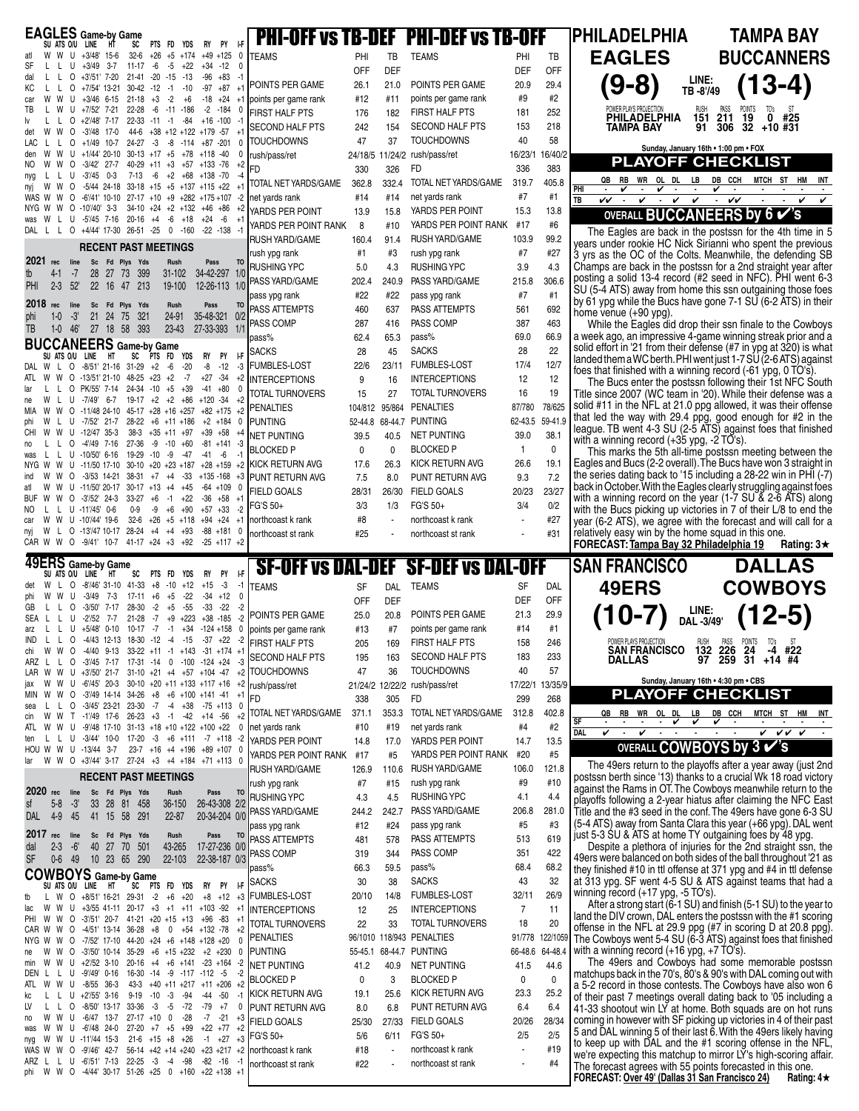| <b>EAGLES</b> Game-by Game<br>SU ATS O/U LINE HT<br>PY                                                                                                                                        |                                             |                                             | <b>PHI-OFF vs TB-DEF</b> PHI-DEF vs TB-OFF  |                 |                 | PHILADELPHIA<br><b>TAMPA BAY</b>                                                                                                                                                             |
|-----------------------------------------------------------------------------------------------------------------------------------------------------------------------------------------------|---------------------------------------------|---------------------------------------------|---------------------------------------------|-----------------|-----------------|----------------------------------------------------------------------------------------------------------------------------------------------------------------------------------------------|
| SC<br>PTS FD YDS<br>RY<br>$32-6$ +26 +5 +174 +49 +125<br>W U +3/48' 15-6<br>0<br>W                                                                                                            | <b>TEAMS</b>                                | PHI<br>TB                                   | <b>TEAMS</b>                                | PHI             | TB              | <b>EAGLES</b><br><b>BUCCANNERS</b>                                                                                                                                                           |
| $11-17 -6 -5 +22$<br>$+34 -12$<br>SF<br>U<br>+3/49 3-7<br>-0<br>21-41 -20 -15 -13<br>$\circ$<br>+3'/51' 7-20<br>$-96$ $+83$<br>-1<br>dal<br>L.<br>L                                           |                                             | DEF<br>OFF                                  |                                             | DEF             | <b>OFF</b>      | LINE:                                                                                                                                                                                        |
| +7/54' 13-21<br>$30-42 -12 -1 -10$<br>$-97$<br>$+87$<br>КC<br>0<br>$+1$<br>$21-18 +3$<br>$-2$<br>W<br>U<br>$+3/46$ 6-15<br>+6<br>-18<br>+24<br>$+1$<br>car                                    | POINTS PER GAME<br>points per game rank     | 26.1<br>21.0<br>#12<br>#11                  | POINTS PER GAME<br>points per game rank     | 20.9<br>#9      | 29.4<br>#2      | $(13-4)$<br>$9-8)$<br>TB-8'/49                                                                                                                                                               |
| +7/52' 7-21<br>22-28<br>$-6$ $-11$ $-186$<br>$-2$ $-184$<br>U<br>ТВ                                                                                                                           | <b>FIRST HALF PTS</b>                       | 176<br>182                                  | FIRST HALF PTS                              | 181             | 252             | RUSH PASS POINTS TO's ST<br><b>151 211 19 0 #25</b><br>PHILADELPHIA                                                                                                                          |
| 0<br>+2'/48' 7-17<br>22-33 -11 -1 -84<br>$+16 - 100$<br>$44-6$ +38 +12 +122 +179 -57<br>W<br>W<br>$\circ$<br>-3'/48 17-0<br>$+1$<br>det                                                       | <b>SECOND HALF PTS</b>                      | 242<br>154                                  | <b>SECOND HALF PTS</b>                      | 153             | 218             | $91$ 306 32 +10 #31<br>TAMPA BAY                                                                                                                                                             |
| +1/49 10-7 24-27 -3 -8 -114 +87 -201<br>$\circ$<br>$30-13 +17 +5 +78 +118 -40$<br>W<br>W<br>+1/44' 20-10<br>U<br>den                                                                          | <b>TOUCHDOWNS</b><br>rush/pass/ret          | 47<br>37<br>24/18/5 11/24/2 rush/pass/ret   | <b>TOUCHDOWNS</b>                           | 40<br>16/23/1   | 58<br>16/40/2   | Sunday, January 16th . 1:00 pm . FOX                                                                                                                                                         |
| W<br>$\circ$<br>-3/42' 27-7<br>$40-29$ +11 +3 +57 +133 -76<br>NO.<br>W<br>+2<br>$7-13 -6 +2 +68 +138 -70$<br>$U - 3/45 0-3$<br>L.                                                             | FD                                          | 330<br>326                                  | FD                                          | 336             | 383             | <b>PLAYOFF CHECKLIST</b>                                                                                                                                                                     |
| nyg<br>$\circ$<br>$-5/44$ 24-18 33-18 +15 +5 +137 +115 +22<br>W<br>W<br>ny                                                                                                                    | TOTAL NET YARDS/GAME                        | 362.8<br>332.4                              | TOTAL NET YARDS/GAME                        | 319.7           | 405.8           | QB RB WR OL DL LB DB CCH<br>MTCH ST HM<br>INT<br>PHI<br>v ·<br>v                                                                                                                             |
| $-6'/41'$ 10-10 27-17 +10 +9 +282 +175 +107<br>WAS W W O<br>$-2$<br>$O - 10'/40'$ 3-3<br>$34-10 +24 +2 +132$<br>W<br>$+46$ $+86$                                                              | net yards rank<br>YARDS PER POINT           | #14<br>#14<br>13.9<br>15.8                  | net yards rank<br>YARDS PER POINT           | #7<br>15.3      | #1<br>13.8      | TB<br>$\checkmark$<br>vv<br>$\sim$<br>$\checkmark$<br>$\cdot$ $\checkmark$<br>$\checkmark$<br>$\sim$<br>$\checkmark$<br>$\checkmark$                                                         |
| L U -5/45 7-16 20-16 +4<br>$-6$ $+18$<br>+24<br>DAL L L O +4/44' 17-30 26-51 -25 0 -160<br>$-22 - 138 - 1$                                                                                    | YARDS PER POINT RANK                        | 8<br>#10                                    | YARDS PER POINT RANK #17                    |                 | #6              | OVERALL BUCCANEERS by 6 ✔'s<br>The Eagles are back in the postssn for the 4th time in 5                                                                                                      |
| <b>RECENT PAST MEETINGS</b>                                                                                                                                                                   | <b>RUSH YARD/GAME</b>                       | 160.4<br>91.4                               | RUSH YARD/GAME                              | 103.9           | 99.2            | years under rookie HC Nick Sirianni who spent the previous                                                                                                                                   |
| $2021$ rec line<br>Sc Fd Plys Yds<br>Rush<br>Pass<br>T <sub>0</sub>                                                                                                                           | rush ypg rank<br>RUSHING YPC                | #1<br>#3<br>5.0<br>4.3                      | rush ypg rank<br><b>RUSHING YPC</b>         | #7<br>3.9       | #27<br>4.3      | 3 yrs as the OC of the Colts. Meanwhile, the defending SB<br>Champs are back in the postssn for a 2nd straight year after                                                                    |
| 34-42-297 1/0<br>$4 - 1$<br>$-7$<br>28 27 73 399<br>$31 - 102$<br>$2 - 3$ $52'$<br>22 16 47 213<br>12-26-113 1/0<br>19-100<br><b>PHI</b>                                                      | PASS YARD/GAME                              | 202.4<br>240.9                              | PASS YARD/GAME                              | 215.8           | 306.6           | posting a solid 13-4 record (#2 seed in NFC). PHI went 6-3<br>SU (5-4 ATS) away from home this ssn outgaining those foes                                                                     |
| $2018$ rec line<br>Sc Fd Plys Yds<br>Pass<br>Rush<br>TO                                                                                                                                       | pass ypg rank                               | #22<br>#22                                  | pass ypg rank                               | #7              | #1              | by 61 ypg while the Bucs have gone 7-1 SU (6-2 ATS) in their                                                                                                                                 |
| $-3'$<br>21 24 75<br>321<br>35-48-321 0/2<br>$1 - 0$<br>24-91<br>phi                                                                                                                          | PASS ATTEMPTS<br>PASS COMP                  | 460<br>637<br>287<br>416                    | PASS ATTEMPTS<br>PASS COMP                  | 561<br>387      | 692<br>463      | home venue $(+90$ ypg).<br>While the Eagles did drop their ssn finale to the Cowboys                                                                                                         |
| 27 18 58 393<br>27-33-393 1/<br>46'<br>23-43<br>TB<br>$1 - 0$<br><b>BUCCANEERS</b> Game-by Game                                                                                               | pass%                                       | 62.4<br>65.3                                | pass%                                       | 69.0            | 66.9            | a week ago, an impressive 4-game winning streak prior and a                                                                                                                                  |
| SC PTS FD YDS<br>- I-F<br>SU ATS O/U LINE<br>PY<br>HT<br>RY                                                                                                                                   | <b>SACKS</b>                                | 28<br>45                                    | <b>SACKS</b>                                | 28              | 22              | solid effort in '21 from their defense (#7 in ypg at 320) is what<br>landed them a WC berth. PHI went just 1-7 SU (2-6 ATS) against                                                          |
| $-8/51$ 21-16 31-29 $+2$ -6<br>$-20$<br>-8<br>$-12 - 3$<br>DAL W<br>L.<br>$\circ$<br>$0 -13/51' 21 - 10 48 - 25 + 23 + 2 -7$<br>$+27 -34$<br>W<br>+2                                          | <b>FUMBLES-LOST</b><br><b>INTERCEPTIONS</b> | 22/6<br>23/11<br>9<br>16                    | <b>FUMBLES-LOST</b><br><b>INTERCEPTIONS</b> | 17/4<br>12      | 12/7<br>12      | foes that finished with a winning record (-61 ypg, 0 TO's).<br>The Bucs enter the postssn following their 1st NFC South                                                                      |
| PK/55' 7-14 24-34 -10 +5<br>$\circ$<br>+39<br>$-41$<br>+80<br>$19-17 + 2 + 2 + 86 + 120 - 34$<br>W<br>$-7/49'$ 6-7<br>U<br>$+2$                                                               | TOTAL TURNOVERS                             | 15<br>27                                    | <b>TOTAL TURNOVERS</b>                      | 16              | 19              | Title since 2007 (WC team in '20). While their defense was a                                                                                                                                 |
| $-11/48$ 24-10 45-17 +28 +16 +257<br>W<br>$\circ$<br>$+82$ +175 +2                                                                                                                            | PENALTIES                                   | 104/812 95/864                              | PENALTIES                                   | 87/780          | 78/625          | solid #11 in the NFL at 21.0 ppg allowed, it was their offense<br>that led the way with 29.4 ppg, good enough for #2 in the                                                                  |
| $-7/52$ 21-7<br>$28-22 + 6 + 11 + 186$<br>$+2$ +184<br>W<br>U<br>-12/47 35-3<br>38-3<br>$+35$ +11 $+97$<br>$+39$ $+58$<br>CНI<br>W<br>$+4$                                                    | PUNTING<br><b>NET PUNTING</b>               | 52-44.8 68-44.7<br>39.5<br>40.5             | <b>PUNTING</b><br>NET PUNTING               | 62-43.5<br>39.0 | 59-41.9<br>38.1 | league. TB went 4-3 SU (2-5 ATS) against foes that finished                                                                                                                                  |
| $-4'/49$ 7-16<br>$27-36$ $-9$ $-10$ $+60$<br>$-81$ $+141$ $-3$<br>O<br>19-29 -10 -9<br>U<br>$-10/50'$ 6-16<br>-47<br>$-41$<br>-6<br>$-1$                                                      | <b>BLOCKED P</b>                            | 0<br>$\mathbf{0}$                           | <b>BLOCKED P</b>                            | $\mathbf{1}$    | $\mathbf 0$     | with a winning record $(+35$ ypg, $-2$ TO's).<br>This marks the 5th all-time postssn meeting between the                                                                                     |
| -11/50 17-10<br>$30-10 +20 +23 +187$<br>$+28$ +159<br>W<br>U<br>$+2$<br>NYG W                                                                                                                 | KICK RETURN AVG                             | 17.6<br>26.3                                | <b>KICK RETURN AVG</b>                      | 26.6            | 19.1            | Eagles and Bucs (2-2 overall). The Bucs have won 3 straight in<br>the series dating back to '15 including a 28-22 win in PHI (-7)                                                            |
| $-3/53$ 14-21<br>$38-31 + 7 + 4$<br>-33<br>+135 -168<br>+3<br>ind<br>$U -11/50' 20-17 30-17 +13 +4 +45$<br>$-64$ $+109$<br>W<br>W                                                             | PUNT RETURN AVG<br>FIELD GOALS              | 7.5<br>8.0<br>28/31<br>26/30                | PUNT RETURN AVG<br><b>FIELD GOALS</b>       | 9.3<br>20/23    | 7.2<br>23/27    | back in October. With the Eagles clearly struggling against foes                                                                                                                             |
| $-3/52$ 24-3<br>33-27<br>$-1$ $+22$<br>$\circ$<br>$+6$<br>-36<br>+58<br><b>BUF</b><br>W<br>w<br>$+1$<br>$U -11'/45' 0-6$<br>$+6$ $+90$<br>0-9<br>-9<br>$+57$ $+33$<br>-2<br>NO.               | FG'S 50+                                    | 3/3<br>1/3                                  | FG'S 50+                                    | 3/4             | 0/2             | with a winning record on the year (1-7 SU & 2-6 ATS) along<br>with the Bucs picking up victories in 7 of their L/8 to end the                                                                |
| $32 - 6$<br>$+26$ $+5$ $+118$<br>W<br>U -10'/44' 19-6<br>+94 +24<br>$+1$<br>W                                                                                                                 | northcoast k rank                           | #8<br>$\epsilon$                            | northcoast k rank                           |                 | #27             | year (6-2 ATS), we agree with the forecast and will call for a                                                                                                                               |
| $0.13^{1}/47 10.17 28.24 +4 +4 +93$<br>-88 +181 0<br>nyj<br>CAR W W O -9/41' 10-7 41-17 +24 +3 +92 -25 +117 +2                                                                                | northcoast st rank                          | #25                                         | northcoast st rank                          |                 | #31             | relatively easy win by the home squad in this one.<br>FORECAST: Tampa Bay 32 Philadelphia 19<br>Rating: $3\star$                                                                             |
|                                                                                                                                                                                               |                                             |                                             |                                             |                 |                 |                                                                                                                                                                                              |
| 49ERS Game-by Game                                                                                                                                                                            |                                             |                                             |                                             |                 |                 | <b>SAN FRANCISCO</b><br><b>DALLAS</b>                                                                                                                                                        |
| <b>PY</b><br>SC<br>PTS FD<br>RY<br>ŀF<br>SU ATS O/U LINE<br>yds<br>HT<br>-8'/46' 31-10 41-33<br>$+8$<br>$-3$<br>L O<br>$-10$<br>+12<br>$+15$<br>-1<br>W                                       | <b>SF-OFF vs DAL-DEF</b><br><b>TEAMS</b>    | SF<br><b>DAL</b>                            | <b>SF-DEF vs DAL-OFF</b><br>TEAMS           | SF              | <b>DAL</b>      | 49ERS<br><b>COWBOYS</b>                                                                                                                                                                      |
| $+5 -22$<br>$-34 + 12$<br>-3/49<br>7-3<br>17-11 +6<br>- 0<br>phi<br>W<br>U<br>0<br>-3/50'<br>7-17<br>28-30<br>-2<br>$+5$ $-55$<br>-33<br>-22<br>GB                                            |                                             | <b>DEF</b><br><b>OFF</b>                    |                                             | DEF             | <b>OFF</b>      |                                                                                                                                                                                              |
| $+38 - 185$<br>SEA L<br>$-2'/52$<br>7-7<br>21-28<br>$-7 + 9 + 223$<br>-2<br>$\perp$<br>$U + 5/48' 0-10$<br>$10-17 - 7 - 1 +34 -124 +158$<br>L.<br>- 0<br>arz                                  | POINTS PER GAME<br>points per game rank     | 20.8<br>25.0<br>#13<br>#7                   | POINTS PER GAME<br>points per game rank     | 21.3<br>#14     | 29.9<br>#1      | LINE:<br>DAL -3/49'<br>(12-5)<br>$U - I$                                                                                                                                                     |
| L L O -4/43 12-13 18-30 -12 -4 -15 -37 +22<br>IND<br>-2                                                                                                                                       | FIRST HALF PTS                              | 169<br>205                                  | FIRST HALF PTS                              | 158             | 246             | POWER PLAYS PROJECTION<br>Rush<br>PASS POINTS<br>TO's                                                                                                                                        |
| -4/40 9-13 33-22 +11<br>chi W W O<br>$-1$ +143<br>$-31$<br>$+174$<br>0 -3/45 7-17 17-31 -14 0 -100 -124 +24<br>ARZ L<br>$\mathsf{L}$<br>-3                                                    | <b>SECOND HALF PTS</b>                      | 195<br>163                                  | SECOND HALF PTS                             | 183             | 233             | SAN FRANCISCO 132 226 24<br>#22<br>$-4$<br><b>DALLAS</b><br>97 259 31 +14 #4                                                                                                                 |
| +3/50' 21-7 31-10 +21 +4 +57 +104 -47<br>LAR W<br>W<br>U<br>$+2$<br>$30-10 +20 +11 +133 +117 +16$<br>-6'/45' 20-3<br>W<br>U<br>W<br>$+2$                                                      | <b>TOUCHDOWNS</b>                           | 47<br>36                                    | <b>TOUCHDOWNS</b>                           | 40              | 57              | Sunday, January 16th . 4:30 pm . CBS                                                                                                                                                         |
| -3/49 14-14 34-26<br>$+8$ $+6$ $+100$ $+141$ $-41$ $+1$<br>MIN.<br>W<br>$\circ$                                                                                                               | rush/pass/ret<br>FD                         | 21/24/2 12/22/2 rush/pass/ret<br>305<br>338 | <b>FD</b>                                   | 17/22/1<br>299  | 13/35/9<br>268  | PLAYOFF CHECKLIST                                                                                                                                                                            |
| 0 -3/45' 23-21 23-30 -7 -4 +38 -75 +113 0<br>sea<br>L.<br>$T - 1/49$ 17-6 26-23 +3 -1 -42 +14 -56<br>W<br>W<br>$+2$<br>cin                                                                    | TOTAL NET YARDS/GAME                        | 371.1<br>353.3                              | TOTAL NET YARDS/GAME                        | 312.8           | 402.8           | <b>WR</b><br>OL DL LB DB CCH<br>QB RB<br>MTCH ST HM<br>INT<br>$\overline{\text{SF}}$<br>$\overline{\mathbf{v}}$<br>$\overline{\mathbf{v}}$<br>$\checkmark$<br>$\sim$<br>$\sim$               |
| W U<br>$-9'/48$ 17-10 31-13 +18 +10 +122 +100 +22<br>ATL.<br>W<br>-0<br>$U -3/44'$ 10-0 17-20 -3 +6 +111 -7 +118<br>-2<br>L.<br>L.                                                            | net yards rank                              | #10<br>#19                                  | net yards rank<br>YARDS PER POINT           | #4              | #2              | DAI.<br>v<br>v vv v ·<br>v<br>$\sim$<br>$\cdot$<br>$\overline{\phantom{a}}$<br>$\blacksquare$                                                                                                |
| 23-7 +16 +4 +196 +89 +107<br>HOU W W U -13/44 3-7                                                                                                                                             | YARDS PER POINT<br>YARDS PER POINT RANK     | 14.8<br>17.0<br>#5<br>#17                   | YARDS PER POINT RANK                        | 14.7<br>#20     | 13.5<br>#5      | OVERALL COWBOYS by 3 $\checkmark$ 's                                                                                                                                                         |
| W W O +3'/44' 3-17 27-24 +3 +4 +184 +71 +113 0<br>lar<br><b>RECENT PAST MEETINGS</b>                                                                                                          | RUSH YARD/GAME                              | 126.9<br>110.6                              | RUSH YARD/GAME                              | 106.0           | 121.8           | The 49ers return to the playoffs after a year away (just 2nd<br>postssn berth since '13) thanks to a crucial Wk 18 road victory                                                              |
| 2020 rec line<br>Sc Fd Plys Yds<br>Rush<br>Pass<br>T <sub>0</sub>                                                                                                                             | rush ypg rank                               | #7<br>#15                                   | rush ypg rank                               | #9              | #10             | against the Rams in OT. The Cowboys meanwhile return to the                                                                                                                                  |
| $5-8$<br>$-3'$<br>33 28 81 458<br>36-150<br>26-43-308 2/2<br>sf                                                                                                                               | RUSHING YPC<br>PASS YARD/GAME               | 4.3<br>4.5<br>242.7<br>244.2                | <b>RUSHING YPC</b><br>PASS YARD/GAME        | 4.1<br>206.8    | 4.4<br>281.0    | playoffs following a 2-year hiatus after claiming the NFC East<br>Title and the #3 seed in the conf. The 49ers have gone 6-3 SU                                                              |
| $4-9$<br>45<br>41 15 58 291<br>$22 - 87$<br>20-34-204 0/0<br>Dal                                                                                                                              | pass ypg rank                               | #12<br>#24                                  | pass ypg rank                               | #5              | #3              | (5-4 ATS) away from Santa Clara this year (+66 ypg). DAL went                                                                                                                                |
| 2017 rec<br>line<br>Sc Fd Plys Yds<br>Pass<br><b>TO</b><br>Rush<br>17-27-236 0/0<br>$2 - 3$<br>$-6'$<br>40 27 70<br>501<br>43-265<br>dal                                                      | PASS ATTEMPTS                               | 578<br>481                                  | PASS ATTEMPTS                               | 513             | 619             | just 5-3 SU & ATS at home TY outgaining foes by 48 ypg.<br>Despite a plethora of injuries for the 2nd straight ssn, the                                                                      |
| <b>SF</b><br>$0-6$ 49<br>10 23 65 290<br>22-103<br>22-38-187 0/3                                                                                                                              | PASS COMP<br>pass%                          | 319<br>344<br>66.3<br>59.5                  | PASS COMP<br>pass%                          | 351<br>68.4     | 422<br>68.2     | 49ers were balanced on both sides of the ball throughout '21 as                                                                                                                              |
| <b>COWBOYS</b> Game-by Game<br>SC<br>PY<br>SU ATS O/U LINE HT<br>RY<br>ŀF<br>PTS FD YDS                                                                                                       | <b>SACKS</b>                                | 30<br>38                                    | <b>SACKS</b>                                | 43              | 32              | they finished #10 in ttl offense at 371 ypg and #4 in ttl defense<br>at 313 ypg. SF went 4-5 SU & ATS against teams that had a                                                               |
| +8/51' 16-21 29-31 -2<br>$+6$ $+20$<br>$+8$<br>$+12 +3$<br>W<br>$\circ$<br>L.<br>tb<br>$+3/55$ 41-11 20-17 $+3$<br>$+1$ $+11$ $+103$ $-92$ $+1$<br>lac<br>W<br>W<br>U                         | <b>FUMBLES-LOST</b>                         | 20/10<br>14/8                               | <b>FUMBLES-LOST</b>                         | 32/11           | 26/9            | winning record (+17 ypg, -5 TO's).<br>After a strong start (6-1 SU) and finish (5-1 SU) to the year to                                                                                       |
| $-3'/51'$ 20-7 41-21 $+20$ +15 +13 +96 -83<br>$\circ$<br><b>PHI</b><br>W<br>W<br>$+1$                                                                                                         | <b>INTERCEPTIONS</b><br>TOTAL TURNOVERS     | 12<br>25<br>22<br>33                        | <b>INTERCEPTIONS</b><br>TOTAL TURNOVERS     | 7<br>18         | 11<br>20        | land the DIV crown, DAL enters the postssn with the #1 scoring                                                                                                                               |
| $-4/51$ 13-14 36-28 +8 0 +54 +132 -78<br>CAR W<br>W<br>$\circ$<br>$+2$<br>$-7/52$ ' 17-10 44-20 +24 +6 +148 +128 +20<br>W<br>$\circ$<br>$\Omega$<br>NYG W                                     | PENALTIES                                   | 96/1010                                     | 118/943 PENALTIES                           | 91/778          | 122/1059        | offense in the NFL at 29.9 ppg (#7 in scoring D at 20.8 ppg).<br>The Cowboys went 5-4 SU (6-3 ATS) against foes that finished                                                                |
| $\circ$<br>$-3'/50'$ 10-14 35-29 +6 +15 +232<br>+2 +230<br>0<br>ne<br>+2'/52 3-10<br>$20-16$ $+4$ $+6$ $+141$ $-23$ $+164$ $-2$<br>W<br>U<br>w<br>mın                                         | <b>PUNTING</b>                              | 55-45.1                                     | 68-44.7 PUNTING                             | 66-48.6         | 64-48.4         | with a winning record $(+16 \text{ ypg}, +7 \text{ TO's}).$<br>The 49ers and Cowboys had some memorable postssn                                                                              |
| 16-30 -14 -9 -117 -112 -5<br>U<br>$-9'/49'$ 0-16<br>DEN L<br>-2                                                                                                                               | <b>NET PUNTING</b><br><b>BLOCKED P</b>      | 40.9<br>41.2<br>3<br>0                      | NET PUNTING<br><b>BLOCKED P</b>             | 41.5<br>0       | 44.6<br>0       | matchups back in the 70's, 80's & 90's with DAL coming out with                                                                                                                              |
| U<br>$-8/55$ 36-3<br>43-3 +40 +11 +217 +11 +206 +2<br>W<br>AIL<br>$9-19 - 10 - 3$<br>$U + 2/55'$ 3-16<br>-94<br>-44<br>-50<br>-1<br>kc                                                        | <b>KICK RETURN AVG</b>                      | 19.1<br>25.6                                | KICK RETURN AVG                             | 23.3            | 25.2            | a 5-2 record in those contests. The Cowboys have also won 6<br>of their past 7 meetings overall dating back to '05 including a                                                               |
| $-3$<br>$-5$<br>$-72$<br>-79<br>$+7$<br>LV<br>0<br>-8/50' 13-17<br>33-36<br>0<br>U -6/47 13-7 27-17 +10 0 -28<br>$-7$<br>W<br>$-21$<br>W<br>$+3$<br>no                                        | PUNT RETURN AVG                             | 8.0<br>6.8                                  | PUNT RETURN AVG                             | 6.4             | 6.4             | 41-33 shootout win LY at home. Both squads are on hot runs                                                                                                                                   |
| W<br>U $-6'/48$ 24-0 27-20 +7 +5 +99<br>$+22$ $+77$<br>$+2$<br>W<br>was                                                                                                                       | <b>FIELD GOALS</b><br>FG'S 50+              | 25/30<br>27/33<br>5/6<br>6/11               | <b>FIELD GOALS</b><br>FG'S 50+              | 20/26<br>2/5    | 28/34<br>2/5    | coming in however with SF picking up victories in 4 of their past<br>5 and DAL winning 5 of their last 6. With the 49ers likely having                                                       |
| W W U -11/44 15-3<br>$21-6$ +15 +8 +26<br>$-1$ $+27$ $+3$<br>nyg<br>WAS W W O -9/46' 42-7 56-14 +42 +14 +240 +23 +217 +2 northcoast k rank<br>ARZ L L U 6/51' 7-13 22-25 -3 -4 -98 -82 -16 -1 | northcoast st rank                          | #18<br>$\sim$<br>#22<br>$\sim$              | northcoast k rank<br>northcoast st rank     |                 | #19<br>#4       | to keep up with DAL and the #1 scoring offense in the NFL,<br>we're expecting this matchup to mirror LY's high-scoring affair.<br>The forecast agrees with 55 points forecasted in this one. |

**FORECAST: Over 49' (Dallas 31 San Francisco 24) Rating: 4★**